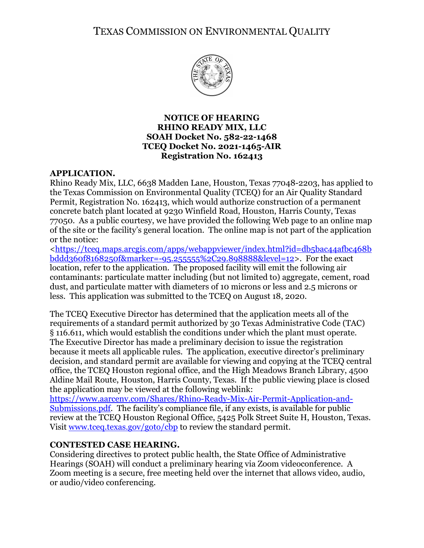# TEXAS COMMISSION ON ENVIRONMENTAL QUALITY



# **NOTICE OF HEARING RHINO READY MIX, LLC SOAH Docket No. 582-22-1468 TCEQ Docket No. 2021-1465-AIR Registration No. 162413**

## **APPLICATION.**

Rhino Ready Mix, LLC, 6638 Madden Lane, Houston, Texas 77048-2203, has applied to the Texas Commission on Environmental Quality (TCEQ) for an Air Quality Standard Permit, Registration No. 162413, which would authorize construction of a permanent concrete batch plant located at 9230 Winfield Road, Houston, Harris County, Texas 77050. As a public courtesy, we have provided the following Web page to an online map of the site or the facility's general location. The online map is not part of the application or the notice:

[<https://tceq.maps.arcgis.com/apps/webappviewer/index.html?id=db5bac44afbc468b](https://tceq.maps.arcgis.com/apps/webappviewer/index.html?id=db5bac44afbc468bbddd360f8168250f&marker=-95.255555%2C29.898888&level=12) [bddd360f8168250f&marker=-95.255555%2C29.898888&level=12>](https://tceq.maps.arcgis.com/apps/webappviewer/index.html?id=db5bac44afbc468bbddd360f8168250f&marker=-95.255555%2C29.898888&level=12). For the exact location, refer to the application. The proposed facility will emit the following air contaminants: particulate matter including (but not limited to) aggregate, cement, road dust, and particulate matter with diameters of 10 microns or less and 2.5 microns or less. This application was submitted to the TCEQ on August 18, 2020.

The TCEQ Executive Director has determined that the application meets all of the requirements of a standard permit authorized by 30 Texas Administrative Code (TAC) § 116.611, which would establish the conditions under which the plant must operate. The Executive Director has made a preliminary decision to issue the registration because it meets all applicable rules. The application, executive director's preliminary decision, and standard permit are available for viewing and copying at the TCEQ central office, the TCEQ Houston regional office, and the High Meadows Branch Library, 4500 Aldine Mail Route, Houston, Harris County, Texas. If the public viewing place is closed the application may be viewed at the following weblink:

[https://www.aarcenv.com/Shares/Rhino-Ready-Mix-Air-Permit-Application-and-](https://www.aarcenv.com/Shares/Rhino-Ready-Mix-Air-Permit-Application-and-Submissions.pdf)[Submissions.pdf.](https://www.aarcenv.com/Shares/Rhino-Ready-Mix-Air-Permit-Application-and-Submissions.pdf) The facility's compliance file, if any exists, is available for public review at the TCEQ Houston Regional Office, 5425 Polk Street Suite H, Houston, Texas. Visit www.tceq.texas.gov/goto/cbp to review the standard permit.

# **CONTESTED CASE HEARING.**

Considering directives to protect public health, the State Office of Administrative Hearings (SOAH) will conduct a preliminary hearing via Zoom videoconference. A Zoom meeting is a secure, free meeting held over the internet that allows video, audio, or audio/video conferencing.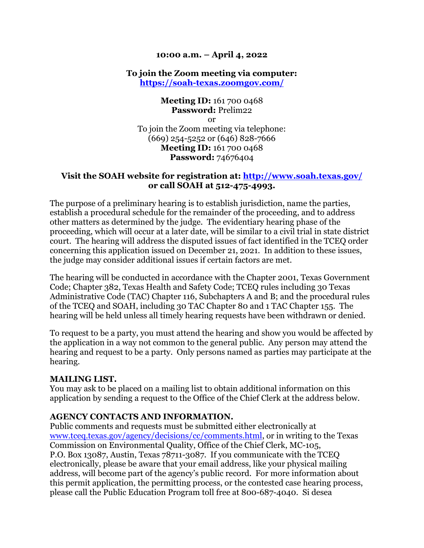## **10:00 a.m. – April 4, 2022**

# **To join the Zoom meeting via computer: <https://soah-texas.zoomgov.com/>**

**Meeting ID:** 161 700 0468 **Password:** Prelim22 or To join the Zoom meeting via telephone: (669) 254-5252 or (646) 828-7666 **Meeting ID:** 161 700 0468 **Password:** 74676404

# **Visit the SOAH website for registration at:<http://www.soah.texas.gov/> or call SOAH at 512-475-4993.**

The purpose of a preliminary hearing is to establish jurisdiction, name the parties, establish a procedural schedule for the remainder of the proceeding, and to address other matters as determined by the judge. The evidentiary hearing phase of the proceeding, which will occur at a later date, will be similar to a civil trial in state district court. The hearing will address the disputed issues of fact identified in the TCEQ order concerning this application issued on December 21, 2021. In addition to these issues, the judge may consider additional issues if certain factors are met.

The hearing will be conducted in accordance with the Chapter 2001, Texas Government Code; Chapter 382, Texas Health and Safety Code; TCEQ rules including 30 Texas Administrative Code (TAC) Chapter 116, Subchapters A and B; and the procedural rules of the TCEQ and SOAH, including 30 TAC Chapter 80 and 1 TAC Chapter 155. The hearing will be held unless all timely hearing requests have been withdrawn or denied.

To request to be a party, you must attend the hearing and show you would be affected by the application in a way not common to the general public. Any person may attend the hearing and request to be a party. Only persons named as parties may participate at the hearing.

#### **MAILING LIST.**

You may ask to be placed on a mailing list to obtain additional information on this application by sending a request to the Office of the Chief Clerk at the address below.

# **AGENCY CONTACTS AND INFORMATION.**

Public comments and requests must be submitted either electronically at [www.tceq.texas.gov/agency/decisions/cc/comments.html,](https://www.tceq.texas.gov/agency/decisions/cc/comments.html) or in writing to the Texas Commission on Environmental Quality, Office of the Chief Clerk, MC-105, P.O. Box 13087, Austin, Texas 78711-3087. If you communicate with the TCEQ electronically, please be aware that your email address, like your physical mailing address, will become part of the agency's public record. For more information about this permit application, the permitting process, or the contested case hearing process, please call the Public Education Program toll free at 800-687-4040. Si desea